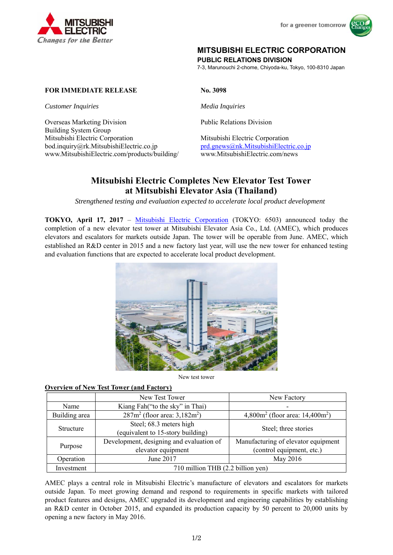



## **MITSUBISHI ELECTRIC CORPORATION**

**PUBLIC RELATIONS DIVISION** 

7-3, Marunouchi 2-chome, Chiyoda-ku, Tokyo, 100-8310 Japan

## **FOR IMMEDIATE RELEASE No. 3098**

*Customer Inquiries Media Inquiries* 

Overseas Marketing Division<br>
Public Relations Division Building System Group Mitsubishi Electric Corporation Mitsubishi Electric Corporation bod.inquiry@rk.MitsubishiElectric.co.jp prd.gnews@nk.MitsubishiElectric.co.jp www.MitsubishiElectric.com/products/building/ www.MitsubishiElectric.com/news

# **Mitsubishi Electric Completes New Elevator Test Tower at Mitsubishi Elevator Asia (Thailand)**

*Strengthened testing and evaluation expected to accelerate local product development* 

**TOKYO, April 17, 2017** – Mitsubishi Electric Corporation (TOKYO: 6503) announced today the completion of a new elevator test tower at Mitsubishi Elevator Asia Co., Ltd. (AMEC), which produces elevators and escalators for markets outside Japan. The tower will be operable from June. AMEC, which established an R&D center in 2015 and a new factory last year, will use the new tower for enhanced testing and evaluation functions that are expected to accelerate local product development.



New test tower

### **Overview of New Test Tower (and Factory)**

|               | New Test Tower                                                 | New Factory                                                      |
|---------------|----------------------------------------------------------------|------------------------------------------------------------------|
| Name          | Kiang Fah("to the sky" in Thai)                                |                                                                  |
| Building area | $287m^2$ (floor area: 3,182m <sup>2</sup> )                    | 4,800 $m^2$ (floor area: 14,400 $m^2$ )                          |
| Structure     | Steel; 68.3 meters high<br>(equivalent to 15-story building)   | Steel; three stories                                             |
| Purpose       | Development, designing and evaluation of<br>elevator equipment | Manufacturing of elevator equipment<br>(control equipment, etc.) |
| Operation     | June 2017                                                      | May 2016                                                         |
| Investment    | 710 million THB (2.2 billion yen)                              |                                                                  |

AMEC plays a central role in Mitsubishi Electric's manufacture of elevators and escalators for markets outside Japan. To meet growing demand and respond to requirements in specific markets with tailored product features and designs, AMEC upgraded its development and engineering capabilities by establishing an R&D center in October 2015, and expanded its production capacity by 50 percent to 20,000 units by opening a new factory in May 2016.